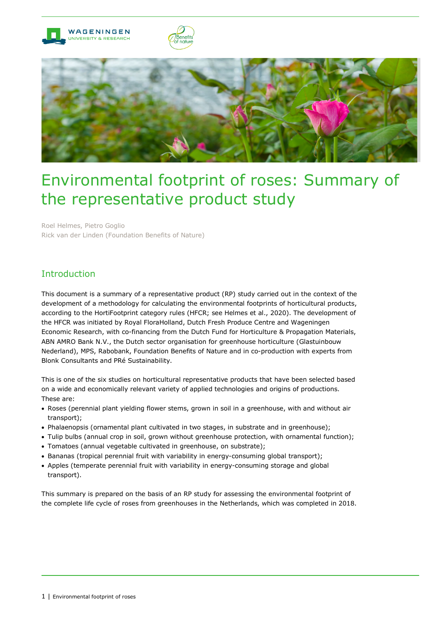





# Environmental footprint of roses: Summary of the representative product study

Roel Helmes, Pietro Goglio Rick van der Linden (Foundation Benefits of Nature)

# Introduction

This document is a summary of a representative product (RP) study carried out in the context of the development of a methodology for calculating the environmental footprints of horticultural products, according to the HortiFootprint category rules (HFCR; see Helmes et al., 2020). The development of the HFCR was initiated by Royal FloraHolland, Dutch Fresh Produce Centre and Wageningen Economic Research, with co-financing from the Dutch Fund for Horticulture & Propagation Materials, ABN AMRO Bank N.V., the Dutch sector organisation for greenhouse horticulture (Glastuinbouw Nederland), MPS, Rabobank, Foundation Benefits of Nature and in co-production with experts from Blonk Consultants and PRé Sustainability.

This is one of the six studies on horticultural representative products that have been selected based on a wide and economically relevant variety of applied technologies and origins of productions. These are:

- Roses (perennial plant yielding flower stems, grown in soil in a greenhouse, with and without air transport);
- Phalaenopsis (ornamental plant cultivated in two stages, in substrate and in greenhouse);
- Tulip bulbs (annual crop in soil, grown without greenhouse protection, with ornamental function);
- Tomatoes (annual vegetable cultivated in greenhouse, on substrate);
- Bananas (tropical perennial fruit with variability in energy-consuming global transport);
- Apples (temperate perennial fruit with variability in energy-consuming storage and global transport).

This summary is prepared on the basis of an RP study for assessing the environmental footprint of the complete life cycle of roses from greenhouses in the Netherlands, which was completed in 2018.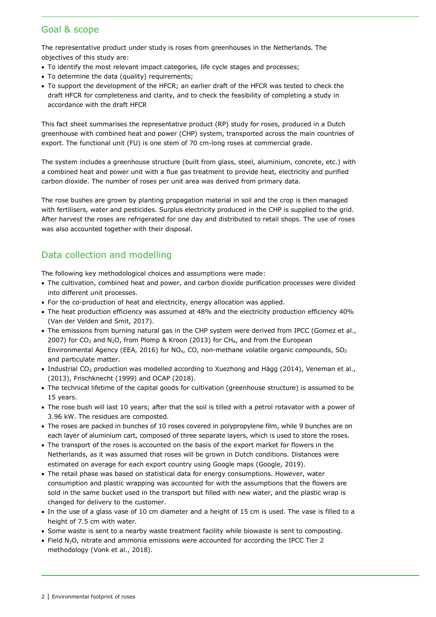# Goal & scope

The representative product under study is roses from greenhouses in the Netherlands. The objectives of this study are:

- To identify the most relevant impact categories, life cycle stages and processes;
- To determine the data (quality) requirements;
- To support the development of the HFCR; an earlier draft of the HFCR was tested to check the draft HFCR for completeness and clarity, and to check the feasibility of completing a study in accordance with the draft HFCR

This fact sheet summarises the representative product (RP) study for roses, produced in a Dutch greenhouse with combined heat and power (CHP) system, transported across the main countries of export. The functional unit (FU) is one stem of 70 cm-long roses at commercial grade.

The system includes a greenhouse structure (built from glass, steel, aluminium, concrete, etc.) with a combined heat and power unit with a flue gas treatment to provide heat, electricity and purified carbon dioxide. The number of roses per unit area was derived from primary data.

The rose bushes are grown by planting propagation material in soil and the crop is then managed with fertilisers, water and pesticides. Surplus electricity produced in the CHP is supplied to the grid. After harvest the roses are refrigerated for one day and distributed to retail shops. The use of roses was also accounted together with their disposal.

# Data collection and modelling

The following key methodological choices and assumptions were made:

- The cultivation, combined heat and power, and carbon dioxide purification processes were divided into different unit processes.
- For the co-production of heat and electricity, energy allocation was applied.
- The heat production efficiency was assumed at 48% and the electricity production efficiency 40% (Van der Velden and Smit, 2017).
- The emissions from burning natural gas in the CHP system were derived from IPCC (Gomez et al., 2007) for CO<sub>2</sub> and N<sub>2</sub>O, from Plomp & Kroon (2013) for CH<sub>4</sub>, and from the European Environmental Agency (EEA, 2016) for NO<sub>x</sub>, CO, non-methane volatile organic compounds, SO<sub>2</sub> and particulate matter.
- Industrial CO<sub>2</sub> production was modelled according to Xuezhong and Hägg (2014), Veneman et al., (2013), Frischknecht (1999) and OCAP (2018).
- The technical lifetime of the capital goods for cultivation (greenhouse structure) is assumed to be 15 years.
- The rose bush will last 10 years; after that the soil is tilled with a petrol rotavator with a power of 3.96 kW. The residues are composted.
- The roses are packed in bunches of 10 roses covered in polypropylene film, while 9 bunches are on each layer of aluminium cart, composed of three separate layers, which is used to store the roses.
- The transport of the roses is accounted on the basis of the export market for flowers in the Netherlands, as it was assumed that roses will be grown in Dutch conditions. Distances were estimated on average for each export country using Google maps (Google, 2019).
- The retail phase was based on statistical data for energy consumptions. However, water consumption and plastic wrapping was accounted for with the assumptions that the flowers are sold in the same bucket used in the transport but filled with new water, and the plastic wrap is changed for delivery to the customer.
- In the use of a glass vase of 10 cm diameter and a height of 15 cm is used. The vase is filled to a height of 7.5 cm with water.
- Some waste is sent to a nearby waste treatment facility while biowaste is sent to composting.
- Field N2O, nitrate and ammonia emissions were accounted for according the IPCC Tier 2 methodology (Vonk et al., 2018).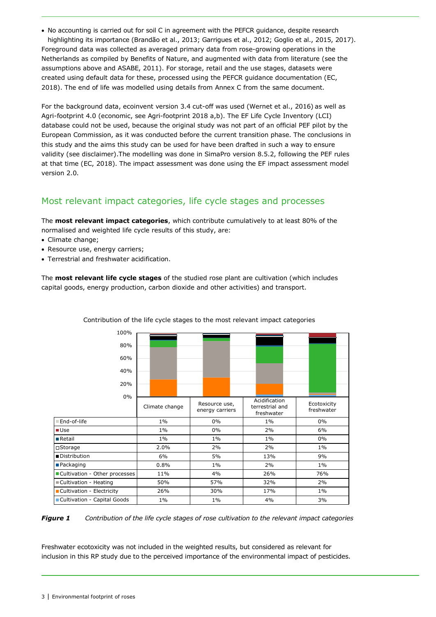• No accounting is carried out for soil C in agreement with the PEFCR guidance, despite research highlighting its importance (Brandão et al., 2013; Garrigues et al., 2012; Goglio et al., 2015, 2017). Foreground data was collected as averaged primary data from rose-growing operations in the Netherlands as compiled by Benefits of Nature, and augmented with data from literature (see the assumptions above and ASABE, 2011). For storage, retail and the use stages, datasets were created using default data for these, processed using the PEFCR guidance documentation (EC, 2018). The end of life was modelled using details from Annex C from the same document.

For the background data, ecoinvent version 3.4 cut-off was used (Wernet et al., 2016) as well as Agri-footprint 4.0 (economic, see Agri-footprint 2018 a,b). The EF Life Cycle Inventory (LCI) database could not be used, because the original study was not part of an official PEF pilot by the European Commission, as it was conducted before the current transition phase. The conclusions in this study and the aims this study can be used for have been drafted in such a way to ensure validity (see disclaimer).The modelling was done in SimaPro version 8.5.2, following the PEF rules at that time (EC, 2018). The impact assessment was done using the EF impact assessment model version 2.0.

# Most relevant impact categories, life cycle stages and processes

The **most relevant impact categories**, which contribute cumulatively to at least 80% of the normalised and weighted life cycle results of this study, are:

- Climate change;
- Resource use, energy carriers;
- Terrestrial and freshwater acidification.

The **most relevant life cycle stages** of the studied rose plant are cultivation (which includes capital goods, energy production, carbon dioxide and other activities) and transport.

| 100%                          |                |                                  |                                                |                           |
|-------------------------------|----------------|----------------------------------|------------------------------------------------|---------------------------|
| 80%                           |                |                                  |                                                |                           |
| 60%                           |                |                                  |                                                |                           |
| 40%                           |                |                                  |                                                |                           |
| 20%                           |                |                                  |                                                |                           |
| $0\%$                         |                |                                  |                                                |                           |
|                               | Climate change | Resource use,<br>energy carriers | Acidification<br>terrestrial and<br>freshwater | Ecotoxicity<br>freshwater |
| End-of-life                   | $1\%$          | $0\%$                            | $1\%$                                          | $0\%$                     |
| $\blacksquare$ Use            | $1\%$          | $0\%$                            | 2%                                             | 6%                        |
| <b>Retail</b>                 | $1\%$          | $1\%$                            | $1\%$                                          | $0\%$                     |
| □Storage                      | 2.0%           | 2%                               | 2%                                             | $1\%$                     |
| l ■ Distribution              | 6%             | 5%                               | 13%                                            | 9%                        |
| ■Packaging                    | 0.8%           | $1\%$                            | 2%                                             | $1\%$                     |
| Cultivation - Other processes | 11%            | 4%                               | 26%                                            | 76%                       |
| Cultivation - Heating         | 50%            | 57%                              | 32%                                            | 2%                        |
| Cultivation - Electricity     | 26%            | 30%                              | 17%                                            | $1\%$                     |
| Cultivation - Capital Goods   | $1\%$<br>$1\%$ |                                  | 4%                                             | 3%                        |
|                               |                |                                  |                                                |                           |

#### Contribution of the life cycle stages to the most relevant impact categories

*Figure 1 Contribution of the life cycle stages of rose cultivation to the relevant impact categories*

Freshwater ecotoxicity was not included in the weighted results, but considered as relevant for inclusion in this RP study due to the perceived importance of the environmental impact of pesticides.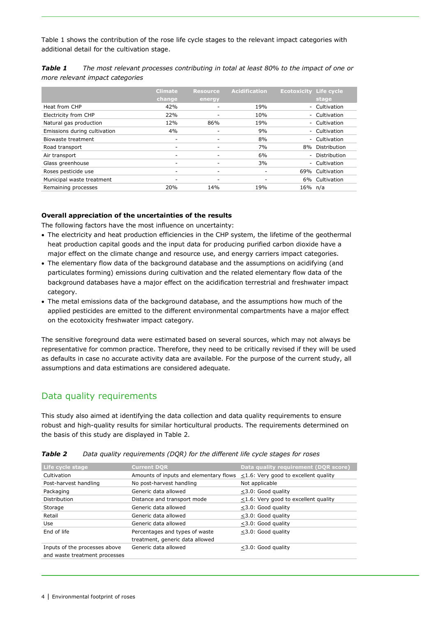[Table](#page-3-0) 1 shows the contribution of the rose life cycle stages to the relevant impact categories with additional detail for the cultivation stage.

|                              | <b>Climate</b><br>change | <b>Resource</b><br>energy | <b>Acidification</b> | <b>Ecotoxicity Life cycle</b> | stage          |
|------------------------------|--------------------------|---------------------------|----------------------|-------------------------------|----------------|
| Heat from CHP                | 42%                      |                           | 19%                  |                               | - Cultivation  |
| Electricity from CHP         | 22%                      |                           | 10%                  |                               | - Cultivation  |
| Natural gas production       | 12%                      | 86%                       | 19%                  |                               | - Cultivation  |
| Emissions during cultivation | 4%                       |                           | 9%                   |                               | - Cultivation  |
| Biowaste treatment           | ۰                        |                           | 8%                   |                               | - Cultivation  |
| Road transport               | ۰                        |                           | 7%                   | 8%                            | Distribution   |
| Air transport                |                          |                           | 6%                   |                               | - Distribution |
| Glass greenhouse             | ۰                        |                           | 3%                   |                               | - Cultivation  |
| Roses pesticide use          | ۰                        | -                         |                      | 69%                           | Cultivation    |
| Municipal waste treatment    | -                        |                           |                      |                               | 6% Cultivation |
| Remaining processes          | 20%                      | 14%                       | 19%                  | 16% n/a                       |                |

<span id="page-3-0"></span>*Table 1 The most relevant processes contributing in total at least 80% to the impact of one or more relevant impact categories*

#### **Overall appreciation of the uncertainties of the results**

The following factors have the most influence on uncertainty:

- The electricity and heat production efficiencies in the CHP system, the lifetime of the geothermal heat production capital goods and the input data for producing purified carbon dioxide have a major effect on the climate change and resource use, and energy carriers impact categories.
- The elementary flow data of the background database and the assumptions on acidifying (and particulates forming) emissions during cultivation and the related elementary flow data of the background databases have a major effect on the acidification terrestrial and freshwater impact category.
- The metal emissions data of the background database, and the assumptions how much of the applied pesticides are emitted to the different environmental compartments have a major effect on the ecotoxicity freshwater impact category.

The sensitive foreground data were estimated based on several sources, which may not always be representative for common practice. Therefore, they need to be critically revised if they will be used as defaults in case no accurate activity data are available. For the purpose of the current study, all assumptions and data estimations are considered adequate.

## Data quality requirements

This study also aimed at identifying the data collection and data quality requirements to ensure robust and high-quality results for similar horticultural products. The requirements determined on the basis of this study are displayed in Table 2.

| Life cycle stage              | <b>Current DOR</b>                                                                | Data quality requirement (DQR score)       |  |  |
|-------------------------------|-----------------------------------------------------------------------------------|--------------------------------------------|--|--|
| Cultivation                   | Amounts of inputs and elementary flows $\leq$ 1.6: Very good to excellent quality |                                            |  |  |
| Post-harvest handling         | No post-harvest handling                                                          | Not applicable                             |  |  |
| Packaging                     | Generic data allowed                                                              | $\leq$ 3.0: Good quality                   |  |  |
| Distribution                  | Distance and transport mode                                                       | $\leq$ 1.6: Very good to excellent quality |  |  |
| Storage                       | Generic data allowed                                                              | <3.0: Good quality                         |  |  |
| Retail                        | Generic data allowed                                                              | <3.0: Good quality                         |  |  |
| Use                           | Generic data allowed                                                              | <3.0: Good quality                         |  |  |
| End of life                   | Percentages and types of waste                                                    | $<$ 3.0: Good quality                      |  |  |
|                               | treatment, generic data allowed                                                   |                                            |  |  |
| Inputs of the processes above | Generic data allowed                                                              | <3.0: Good quality                         |  |  |
| and waste treatment processes |                                                                                   |                                            |  |  |

*Table 2 Data quality requirements (DQR) for the different life cycle stages for roses*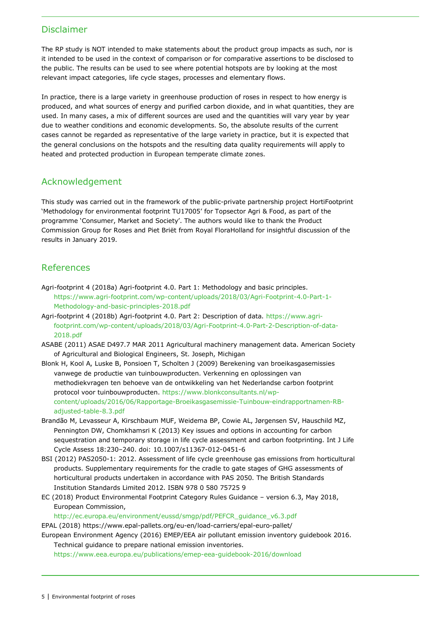## Disclaimer

The RP study is NOT intended to make statements about the product group impacts as such, nor is it intended to be used in the context of comparison or for comparative assertions to be disclosed to the public. The results can be used to see where potential hotspots are by looking at the most relevant impact categories, life cycle stages, processes and elementary flows.

In practice, there is a large variety in greenhouse production of roses in respect to how energy is produced, and what sources of energy and purified carbon dioxide, and in what quantities, they are used. In many cases, a mix of different sources are used and the quantities will vary year by year due to weather conditions and economic developments. So, the absolute results of the current cases cannot be regarded as representative of the large variety in practice, but it is expected that the general conclusions on the hotspots and the resulting data quality requirements will apply to heated and protected production in European temperate climate zones.

## Acknowledgement

This study was carried out in the framework of the public-private partnership project HortiFootprint 'Methodology for environmental footprint TU17005' for Topsector Agri & Food, as part of the programme 'Consumer, Market and Society'. The authors would like to thank the Product Commission Group for Roses and Piet Briët from Royal FloraHolland for insightful discussion of the results in January 2019.

## References

- Agri-footprint 4 (2018a) Agri-footprint 4.0. Part 1: Methodology and basic principles. [https://www.agri-footprint.com/wp-content/uploads/2018/03/Agri-Footprint-4.0-Part-1-](https://www.agri-footprint.com/wp-content/uploads/2018/03/Agri-Footprint-4.0-Part-1-Methodology-and-basic-principles-2018.pdf) [Methodology-and-basic-principles-2018.pdf](https://www.agri-footprint.com/wp-content/uploads/2018/03/Agri-Footprint-4.0-Part-1-Methodology-and-basic-principles-2018.pdf)
- Agri-footprint 4 (2018b) Agri-footprint 4.0. Part 2: Description of data. [https://www.agri](https://www.agri-footprint.com/wp-content/uploads/2018/03/Agri-Footprint-4.0-Part-2-Description-of-data-2018.pdf)[footprint.com/wp-content/uploads/2018/03/Agri-Footprint-4.0-Part-2-Description-of-data-](https://www.agri-footprint.com/wp-content/uploads/2018/03/Agri-Footprint-4.0-Part-2-Description-of-data-2018.pdf)[2018.pdf](https://www.agri-footprint.com/wp-content/uploads/2018/03/Agri-Footprint-4.0-Part-2-Description-of-data-2018.pdf)
- ASABE (2011) ASAE D497.7 MAR 2011 Agricultural machinery management data. American Society of Agricultural and Biological Engineers, St. Joseph, Michigan
- Blonk H, Kool A, Luske B, Ponsioen T, Scholten J (2009) Berekening van broeikasgasemissies vanwege de productie van tuinbouwproducten. Verkenning en oplossingen van methodiekvragen ten behoeve van de ontwikkeling van het Nederlandse carbon footprint protocol voor tuinbouwproducten. [https://www.blonkconsultants.nl/wp](https://www.blonkconsultants.nl/wp-content/uploads/2016/06/Rapportage-Broeikasgasemissie-Tuinbouw-eindrapportnamen-RB-adjusted-table-8.3.pdf)[content/uploads/2016/06/Rapportage-Broeikasgasemissie-Tuinbouw-eindrapportnamen-RB](https://www.blonkconsultants.nl/wp-content/uploads/2016/06/Rapportage-Broeikasgasemissie-Tuinbouw-eindrapportnamen-RB-adjusted-table-8.3.pdf)[adjusted-table-8.3.pdf](https://www.blonkconsultants.nl/wp-content/uploads/2016/06/Rapportage-Broeikasgasemissie-Tuinbouw-eindrapportnamen-RB-adjusted-table-8.3.pdf)
- Brandão M, Levasseur A, Kirschbaum MUF, Weidema BP, Cowie AL, Jørgensen SV, Hauschild MZ, Pennington DW, Chomkhamsri K (2013) Key issues and options in accounting for carbon sequestration and temporary storage in life cycle assessment and carbon footprinting. Int J Life Cycle Assess 18:230–240. doi: 10.1007/s11367-012-0451-6
- BSI (2012) PAS2050-1: 2012. Assessment of life cycle greenhouse gas emissions from horticultural products. Supplementary requirements for the cradle to gate stages of GHG assessments of horticultural products undertaken in accordance with PAS 2050. The British Standards Institution Standards Limited 2012. ISBN 978 0 580 75725 9
- EC (2018) Product Environmental Footprint Category Rules Guidance version 6.3, May 2018, European Commission,

[http://ec.europa.eu/environment/eussd/smgp/pdf/PEFCR\\_guidance\\_v6.3.pdf](http://ec.europa.eu/environment/eussd/smgp/pdf/PEFCR_guidance_v6.3.pdf)

EPAL (2018)<https://www.epal-pallets.org/eu-en/load-carriers/epal-euro-pallet/>

European Environment Agency (2016) EMEP/EEA air pollutant emission inventory guidebook 2016. Technical guidance to prepare national emission inventories.

<https://www.eea.europa.eu/publications/emep-eea-guidebook-2016/download>